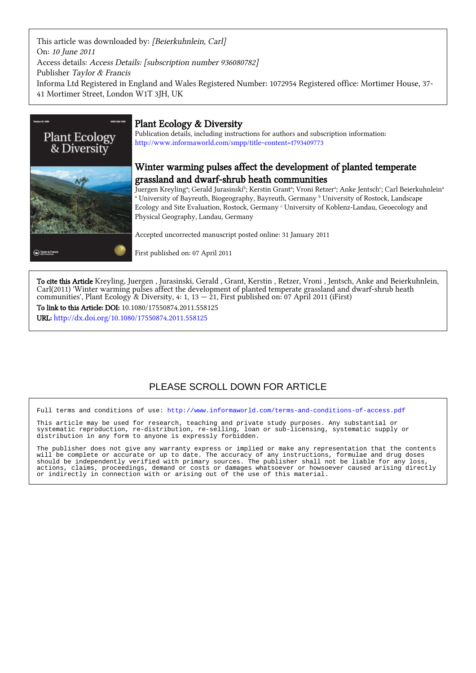This article was downloaded by: [Beierkuhnlein, Carl] On: 10 June 2011 Access details: Access Details: [subscription number 936080782] Publisher Taylor & Francis Informa Ltd Registered in England and Wales Registered Number: 1072954 Registered office: Mortimer House, 37- 41 Mortimer Street, London W1T 3JH, UK



# Plant Ecology & Diversity

Publication details, including instructions for authors and subscription information: <http://www.informaworld.com/smpp/title~content=t793409773>

# Winter warming pulses affect the development of planted temperate grassland and dwarf-shrub heath communities

Juergen Kreylingª; Gerald Jurasinskiʰ; Kerstin Grantª; Vroni Retzerª; Anke Jentschʿ; Carl Beierkuhnleinª <sup>a</sup> University of Bayreuth, Biogeography, Bayreuth, Germany <sup>b</sup> University of Rostock, Landscape Ecology and Site Evaluation, Rostock, Germany <sup>c</sup> University of Koblenz-Landau, Geoecology and Physical Geography, Landau, Germany

Accepted uncorrected manuscript posted online: 31 January 2011

First published on: 07 April 2011

To cite this Article Kreyling, Juergen , Jurasinski, Gerald , Grant, Kerstin , Retzer, Vroni , Jentsch, Anke and Beierkuhnlein, Carl(2011) 'Winter warming pulses affect the development of planted temperate grassland and dwarf-shrub heath communities', Plant Ecology & Diversity, 4: 1, 13 — 21, First published on: 07 April 2011 (iFirst)

To link to this Article: DOI: 10.1080/17550874.2011.558125 URL: <http://dx.doi.org/10.1080/17550874.2011.558125>

# PLEASE SCROLL DOWN FOR ARTICLE

Full terms and conditions of use:<http://www.informaworld.com/terms-and-conditions-of-access.pdf>

This article may be used for research, teaching and private study purposes. Any substantial or systematic reproduction, re-distribution, re-selling, loan or sub-licensing, systematic supply or distribution in any form to anyone is expressly forbidden.

The publisher does not give any warranty express or implied or make any representation that the contents will be complete or accurate or up to date. The accuracy of any instructions, formulae and drug doses should be independently verified with primary sources. The publisher shall not be liable for any loss, actions, claims, proceedings, demand or costs or damages whatsoever or howsoever caused arising directly or indirectly in connection with or arising out of the use of this material.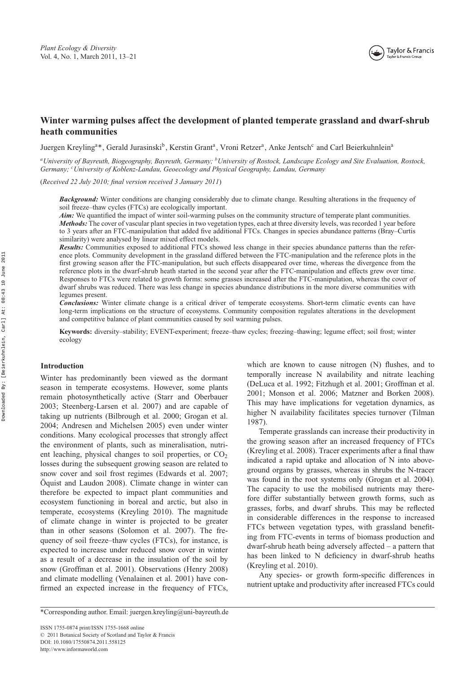# **Winter warming pulses affect the development of planted temperate grassland and dwarf-shrub heath communities**

Juergen Kreyling<sup>a\*</sup>, Gerald Jurasinski<sup>b</sup>, Kerstin Grant<sup>a</sup>, Vroni Retzer<sup>a</sup>, Anke Jentsch<sup>c</sup> and Carl Beierkuhnlein<sup>a</sup>

*aUniversity of Bayreuth, Biogeography, Bayreuth, Germany; bUniversity of Rostock, Landscape Ecology and Site Evaluation, Rostock, Germany; <sup>c</sup> University of Koblenz-Landau, Geoecology and Physical Geography, Landau, Germany*

(*Received 22 July 2010; final version received 3 January 2011*)

*Background:* Winter conditions are changing considerably due to climate change. Resulting alterations in the frequency of soil freeze–thaw cycles (FTCs) are ecologically important.

*Aim:* We quantified the impact of winter soil-warming pulses on the community structure of temperate plant communities. *Methods:* The cover of vascular plant species in two vegetation types, each at three diversity levels, was recorded 1 year before to 3 years after an FTC-manipulation that added five additional FTCs. Changes in species abundance patterns (Bray–Curtis similarity) were analysed by linear mixed effect models.

*Results:* Communities exposed to additional FTCs showed less change in their species abundance patterns than the reference plots. Community development in the grassland differed between the FTC-manipulation and the reference plots in the first growing season after the FTC-manipulation, but such effects disappeared over time, whereas the divergence from the reference plots in the dwarf-shrub heath started in the second year after the FTC-manipulation and effects grew over time. Responses to FTCs were related to growth forms: some grasses increased after the FTC-manipulation, whereas the cover of dwarf shrubs was reduced. There was less change in species abundance distributions in the more diverse communities with legumes present.

*Conclusions:* Winter climate change is a critical driver of temperate ecosystems. Short-term climatic events can have long-term implications on the structure of ecosystems. Community composition regulates alterations in the development and competitive balance of plant communities caused by soil warming pulses.

**Keywords:** diversity–stability; EVENT-experiment; freeze–thaw cycles; freezing–thawing; legume effect; soil frost; winter ecology

# **Introduction**

Winter has predominantly been viewed as the dormant season in temperate ecosystems. However, some plants remain photosynthetically active (Starr and Oberbauer 2003; Steenberg-Larsen et al. 2007) and are capable of taking up nutrients (Bilbrough et al. 2000; Grogan et al. 2004; Andresen and Michelsen 2005) even under winter conditions. Many ecological processes that strongly affect the environment of plants, such as mineralisation, nutrient leaching, physical changes to soil properties, or  $CO<sub>2</sub>$ losses during the subsequent growing season are related to snow cover and soil frost regimes (Edwards et al. 2007; Öquist and Laudon 2008). Climate change in winter can therefore be expected to impact plant communities and ecosystem functioning in boreal and arctic, but also in temperate, ecosystems (Kreyling 2010). The magnitude of climate change in winter is projected to be greater than in other seasons (Solomon et al. 2007). The frequency of soil freeze–thaw cycles (FTCs), for instance, is expected to increase under reduced snow cover in winter as a result of a decrease in the insulation of the soil by snow (Groffman et al. 2001). Observations (Henry 2008) and climate modelling (Venalainen et al. 2001) have confirmed an expected increase in the frequency of FTCs,

which are known to cause nitrogen (N) flushes, and to temporally increase N availability and nitrate leaching (DeLuca et al. 1992; Fitzhugh et al. 2001; Groffman et al. 2001; Monson et al. 2006; Matzner and Borken 2008). This may have implications for vegetation dynamics, as higher N availability facilitates species turnover (Tilman 1987).

Temperate grasslands can increase their productivity in the growing season after an increased frequency of FTCs (Kreyling et al. 2008). Tracer experiments after a final thaw indicated a rapid uptake and allocation of N into aboveground organs by grasses, whereas in shrubs the N-tracer was found in the root systems only (Grogan et al. 2004). The capacity to use the mobilised nutrients may therefore differ substantially between growth forms, such as grasses, forbs, and dwarf shrubs. This may be reflected in considerable differences in the response to increased FTCs between vegetation types, with grassland benefiting from FTC-events in terms of biomass production and dwarf-shrub heath being adversely affected – a pattern that has been linked to N deficiency in dwarf-shrub heaths (Kreyling et al. 2010).

Any species- or growth form-specific differences in nutrient uptake and productivity after increased FTCs could

<sup>\*</sup>Corresponding author. Email: juergen.[kreyling@uni-bayreuth.de](mailto:kreyling@uni-bayreuth.de)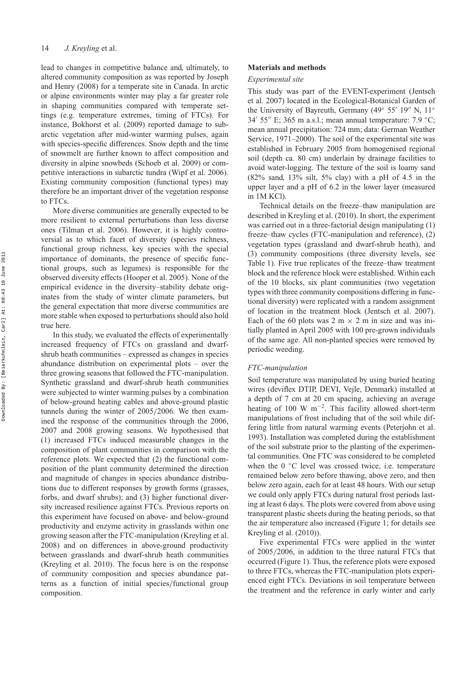lead to changes in competitive balance and, ultimately, to altered community composition as was reported by Joseph and Henry (2008) for a temperate site in Canada. In arctic or alpine environments winter may play a far greater role in shaping communities compared with temperate settings (e.g. temperature extremes, timing of FTCs). For instance, Bokhorst et al. (2009) reported damage to subarctic vegetation after mid-winter warming pulses, again with species-specific differences. Snow depth and the time of snowmelt are further known to affect composition and diversity in alpine snowbeds (Schoeb et al. 2009) or competitive interactions in subarctic tundra (Wipf et al. 2006). Existing community composition (functional types) may therefore be an important driver of the vegetation response to FTCs.

More diverse communities are generally expected to be more resilient to external perturbations than less diverse ones (Tilman et al. 2006). However, it is highly controversial as to which facet of diversity (species richness, functional group richness, key species with the special importance of dominants, the presence of specific functional groups, such as legumes) is responsible for the observed diversity effects (Hooper et al. 2005). None of the empirical evidence in the diversity–stability debate originates from the study of winter climate parameters, but the general expectation that more diverse communities are more stable when exposed to perturbations should also hold true here.

In this study, we evaluated the effects of experimentally increased frequency of FTCs on grassland and dwarfshrub heath communities – expressed as changes in species abundance distribution on experimental plots – over the three growing seasons that followed the FTC-manipulation. Synthetic grassland and dwarf-shrub heath communities were subjected to winter warming pulses by a combination of below-ground heating cables and above-ground plastic tunnels during the winter of 2005*/*2006. We then examined the response of the communities through the 2006, 2007 and 2008 growing seasons. We hypothesised that (1) increased FTCs induced measurable changes in the composition of plant communities in comparison with the reference plots. We expected that (2) the functional composition of the plant community determined the direction and magnitude of changes in species abundance distributions due to different responses by growth forms (grasses, forbs, and dwarf shrubs); and (3) higher functional diversity increased resilience against FTCs. Previous reports on this experiment have focused on above- and below-ground productivity and enzyme activity in grasslands within one growing season after the FTC-manipulation (Kreyling et al. 2008) and on differences in above-ground productivity between grasslands and dwarf-shrub heath communities (Kreyling et al. 2010). The focus here is on the response of community composition and species abundance patterns as a function of initial species*/*functional group composition.

## **Materials and methods**

#### *Experimental site*

This study was part of the EVENT-experiment (Jentsch et al. 2007) located in the Ecological-Botanical Garden of the University of Bayreuth, Germany (49° 55' 19" N, 11° 34' 55" E; 365 m a.s.l.; mean annual temperature: 7.9  $\textdegree$ C; mean annual precipitation: 724 mm; data: German Weather Service, 1971–2000). The soil of the experimental site was established in February 2005 from homogenised regional soil (depth ca. 80 cm) underlain by drainage facilities to avoid water-logging. The texture of the soil is loamy sand (82% sand, 13% silt, 5% clay) with a pH of 4.5 in the upper layer and a pH of 6.2 in the lower layer (measured in 1M KCl).

Technical details on the freeze–thaw manipulation are described in Kreyling et al. (2010). In short, the experiment was carried out in a three-factorial design manipulating (1) freeze–thaw cycles (FTC-manipulation and reference), (2) vegetation types (grassland and dwarf-shrub heath), and (3) community compositions (three diversity levels, see Table 1). Five true replicates of the freeze–thaw treatment block and the reference block were established. Within each of the 10 blocks, six plant communities (two vegetation types with three community compositions differing in functional diversity) were replicated with a random assignment of location in the treatment block (Jentsch et al. 2007). Each of the 60 plots was 2 m  $\times$  2 m in size and was initially planted in April 2005 with 100 pre-grown individuals of the same age. All non-planted species were removed by periodic weeding.

# *FTC-manipulation*

Soil temperature was manipulated by using buried heating wires (deviflex DTIP, DEVI, Vejle, Denmark) installed at a depth of 7 cm at 20 cm spacing, achieving an average heating of 100 W m−2. This facility allowed short-term manipulations of frost including that of the soil while differing little from natural warming events (Peterjohn et al. 1993). Installation was completed during the establishment of the soil substrate prior to the planting of the experimental communities. One FTC was considered to be completed when the  $0 °C$  level was crossed twice, i.e. temperature remained below zero before thawing, above zero, and then below zero again, each for at least 48 hours. With our setup we could only apply FTCs during natural frost periods lasting at least 6 days. The plots were covered from above using transparent plastic sheets during the heating periods, so that the air temperature also increased (Figure 1; for details see Kreyling et al. (2010)).

Five experimental FTCs were applied in the winter of 2005*/*2006, in addition to the three natural FTCs that occurred (Figure 1). Thus, the reference plots were exposed to three FTCs, whereas the FTC-manipulation plots experienced eight FTCs. Deviations in soil temperature between the treatment and the reference in early winter and early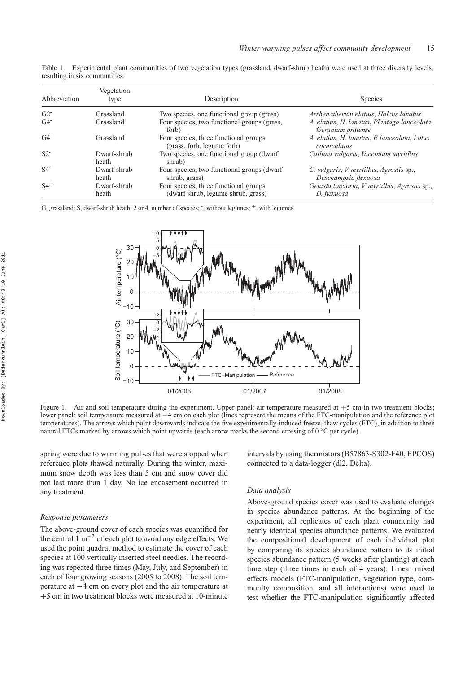| Table 1. Experimental plant communities of two vegetation types (grassland, dwarf-shrub heath) were used at three diversity levels, |  |  |  |  |  |  |  |
|-------------------------------------------------------------------------------------------------------------------------------------|--|--|--|--|--|--|--|
| resulting in six communities.                                                                                                       |  |  |  |  |  |  |  |

| Abbreviation      | Vegetation<br>type   | Description                                                                 | <b>Species</b>                                                    |
|-------------------|----------------------|-----------------------------------------------------------------------------|-------------------------------------------------------------------|
| $G2$ <sup>-</sup> | Grassland            | Two species, one functional group (grass)                                   | Arrhenatherum elatius, Holcus lanatus                             |
| $G4$ <sup>-</sup> | Grassland            | Four species, two functional groups (grass,<br>forb)                        | A. elatius, H. lanatus, Plantago lanceolata,<br>Geranium pratense |
| $G4^+$            | Grassland            | Four species, three functional groups<br>(grass, forb, legume forb)         | A. elatius, H. lanatus, P. lanceolata, Lotus<br>corniculatus      |
| $S2$ <sup>-</sup> | Dwarf-shrub<br>heath | Two species, one functional group (dwarf<br>shrub)                          | Calluna vulgaris, Vaccinium myrtillus                             |
| $S4$ <sup>-</sup> | Dwarf-shrub<br>heath | Four species, two functional groups (dwarf<br>shrub, grass)                 | C. vulgaris, V. myrtillus, Agrostis sp.,<br>Deschampsia flexuosa  |
| $S4$ <sup>+</sup> | Dwarf-shrub<br>heath | Four species, three functional groups<br>(dwarf shrub, legume shrub, grass) | Genista tinctoria, V. myrtillus, Agrostis sp.,<br>D. flexuosa     |

G, grassland; S, dwarf-shrub heath; 2 or 4, number of species; , without legumes;  $^+$ , with legumes.



Figure 1. Air and soil temperature during the experiment. Upper panel: air temperature measured at  $+5$  cm in two treatment blocks; lower panel: soil temperature measured at −4 cm on each plot (lines represent the means of the FTC-manipulation and the reference plot temperatures). The arrows which point downwards indicate the five experimentally-induced freeze–thaw cycles (FTC), in addition to three natural FTCs marked by arrows which point upwards (each arrow marks the second crossing of 0 ◦C per cycle).

spring were due to warming pulses that were stopped when reference plots thawed naturally. During the winter, maximum snow depth was less than 5 cm and snow cover did not last more than 1 day. No ice encasement occurred in any treatment.

#### *Response parameters*

The above-ground cover of each species was quantified for the central 1 m−<sup>2</sup> of each plot to avoid any edge effects. We used the point quadrat method to estimate the cover of each species at 100 vertically inserted steel needles. The recording was repeated three times (May, July, and September) in each of four growing seasons (2005 to 2008). The soil temperature at −4 cm on every plot and the air temperature at +5 cm in two treatment blocks were measured at 10-minute intervals by using thermistors (B57863-S302-F40, EPCOS) connected to a data-logger (dl2, Delta).

#### *Data analysis*

Above-ground species cover was used to evaluate changes in species abundance patterns. At the beginning of the experiment, all replicates of each plant community had nearly identical species abundance patterns. We evaluated the compositional development of each individual plot by comparing its species abundance pattern to its initial species abundance pattern (5 weeks after planting) at each time step (three times in each of 4 years). Linear mixed effects models (FTC-manipulation, vegetation type, community composition, and all interactions) were used to test whether the FTC-manipulation significantly affected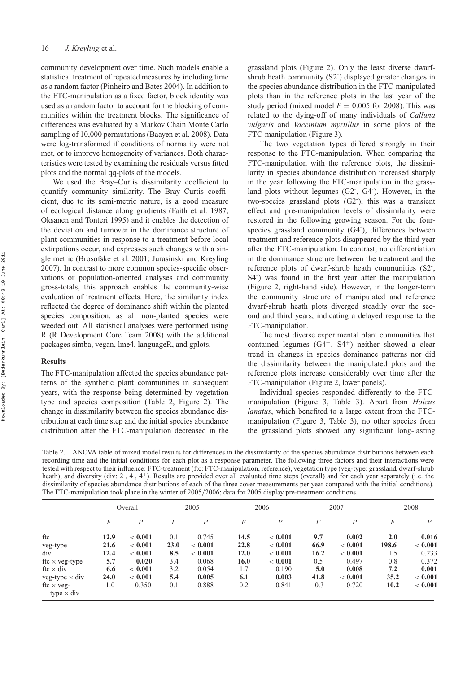community development over time. Such models enable a statistical treatment of repeated measures by including time as a random factor (Pinheiro and Bates 2004). In addition to the FTC-manipulation as a fixed factor, block identity was used as a random factor to account for the blocking of communities within the treatment blocks. The significance of differences was evaluated by a Markov Chain Monte Carlo sampling of 10,000 permutations (Baayen et al. 2008). Data were log-transformed if conditions of normality were not met, or to improve homogeneity of variances. Both characteristics were tested by examining the residuals versus fitted plots and the normal qq-plots of the models.

We used the Bray–Curtis dissimilarity coefficient to quantify community similarity. The Bray–Curtis coefficient, due to its semi-metric nature, is a good measure of ecological distance along gradients (Faith et al. 1987; Oksanen and Tonteri 1995) and it enables the detection of the deviation and turnover in the dominance structure of plant communities in response to a treatment before local extirpations occur, and expresses such changes with a single metric (Brosofske et al. 2001; Jurasinski and Kreyling 2007). In contrast to more common species-specific observations or population-oriented analyses and community gross-totals, this approach enables the community-wise evaluation of treatment effects. Here, the similarity index reflected the degree of dominance shift within the planted species composition, as all non-planted species were weeded out. All statistical analyses were performed using R (R Development Core Team 2008) with the additional packages simba, vegan, lme4, languageR, and gplots.

# **Results**

The FTC-manipulation affected the species abundance patterns of the synthetic plant communities in subsequent years, with the response being determined by vegetation type and species composition (Table 2, Figure 2). The change in dissimilarity between the species abundance distribution at each time step and the initial species abundance distribution after the FTC-manipulation decreased in the grassland plots (Figure 2). Only the least diverse dwarfshrub heath community (S2<sup>-</sup>) displayed greater changes in the species abundance distribution in the FTC-manipulated plots than in the reference plots in the last year of the study period (mixed model  $P = 0.005$  for 2008). This was related to the dying-off of many individuals of *Calluna vulgaris* and *Vaccinium myrtillus* in some plots of the FTC-manipulation (Figure 3).

The two vegetation types differed strongly in their response to the FTC-manipulation. When comparing the FTC-manipulation with the reference plots, the dissimilarity in species abundance distribution increased sharply in the year following the FTC-manipulation in the grassland plots without legumes (G2<sup>-</sup>, G4<sup>-</sup>). However, in the two-species grassland plots (G2- ), this was a transient effect and pre-manipulation levels of dissimilarity were restored in the following growing season. For the fourspecies grassland community (G4<sup>-</sup>), differences between treatment and reference plots disappeared by the third year after the FTC-manipulation. In contrast, no differentiation in the dominance structure between the treatment and the reference plots of dwarf-shrub heath communities (S2- , S4- ) was found in the first year after the manipulation (Figure 2, right-hand side). However, in the longer-term the community structure of manipulated and reference dwarf-shrub heath plots diverged steadily over the second and third years, indicating a delayed response to the FTC-manipulation.

The most diverse experimental plant communities that contained legumes  $(G4^+, S4^+)$  neither showed a clear trend in changes in species dominance patterns nor did the dissimilarity between the manipulated plots and the reference plots increase considerably over time after the FTC-manipulation (Figure 2, lower panels).

Individual species responded differently to the FTCmanipulation (Figure 3, Table 3). Apart from *Holcus lanatus*, which benefited to a large extent from the FTCmanipulation (Figure 3, Table 3), no other species from the grassland plots showed any significant long-lasting

Table 2. ANOVA table of mixed model results for differences in the dissimilarity of the species abundance distributions between each recording time and the initial conditions for each plot as a response parameter. The following three factors and their interactions were tested with respect to their influence: FTC-treatment (ftc: FTC-manipulation, reference), vegetation type (veg-type: grassland, dwarf-shrub heath), and diversity (div: 2, 4, 4+). Results are provided over all evaluated time steps (overall) and for each year separately (i.e. the dissimilarity of species abundance distributions of each of the three cover measurements per year compared with the initial conditions). The FTC-manipulation took place in the winter of 2005*/*2006; data for 2005 display pre-treatment conditions.

|                                        |      | Overall          |      | 2005    |      | 2006        |      | 2007    |       | 2008    |
|----------------------------------------|------|------------------|------|---------|------|-------------|------|---------|-------|---------|
|                                        | F    | $\boldsymbol{P}$ | F    | P       | F    | P           | F    | P       | F     | P       |
| ftc                                    | 12.9 | < 0.001          | 0.1  | 0.745   | 14.5 | < 0.001     | 9.7  | 0.002   | 2.0   | 0.016   |
| veg-type                               | 21.6 | < 0.001          | 23.0 | < 0.001 | 22.8 | < 0.001     | 66.9 | < 0.001 | 198.6 | < 0.001 |
| div                                    | 12.4 | < 0.001          | 8.5  | < 0.001 | 12.0 | < 0.001     | 16.2 | < 0.001 | 1.5   | 0.233   |
| ftc $\times$ veg-type                  | 5.7  | 0.020            | 3.4  | 0.068   | 16.0 | ${}< 0.001$ | 0.5  | 0.497   | 0.8   | 0.372   |
| ftc $\times$ div                       | 6.6  | ${}< 0.001$      | 3.2  | 0.054   | 1.7  | 0.190       | 5.0  | 0.008   | 7.2   | 0.001   |
| veg-type $\times$ div                  | 24.0 | ${}< 0.001$      | 5.4  | 0.005   | 6.1  | 0.003       | 41.8 | < 0.001 | 35.2  | < 0.001 |
| ftc $\times$ veg-<br>type $\times$ div | 1.0  | 0.350            | 0.1  | 0.888   | 0.2  | 0.841       | 0.3  | 0.720   | 10.2  | < 0.001 |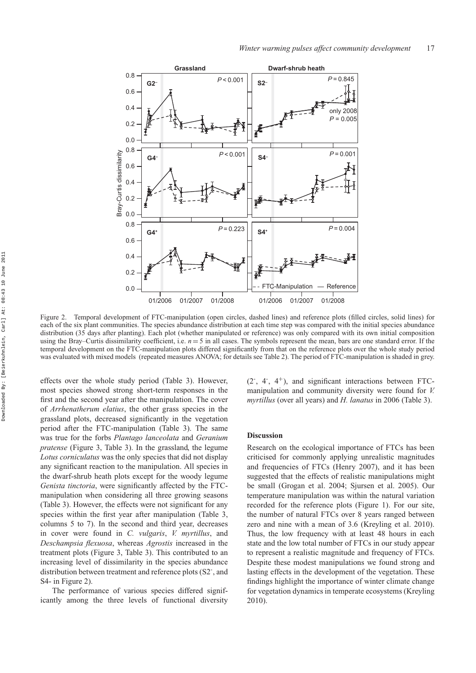

Figure 2. Temporal development of FTC-manipulation (open circles, dashed lines) and reference plots (filled circles, solid lines) for each of the six plant communities. The species abundance distribution at each time step was compared with the initial species abundance distribution (35 days after planting). Each plot (whether manipulated or reference) was only compared with its own initial composition using the Bray–Curtis dissimilarity coefficient, i.e. *n* = 5 in all cases. The symbols represent the mean, bars are one standard error. If the temporal development on the FTC-manipulation plots differed significantly from that on the reference plots over the whole study period was evaluated with mixed models (repeated measures ANOVA; for details see Table 2). The period of FTC-manipulation is shaded in grey.

effects over the whole study period (Table 3). However, most species showed strong short-term responses in the first and the second year after the manipulation. The cover of *Arrhenatherum elatius*, the other grass species in the grassland plots, decreased significantly in the vegetation period after the FTC-manipulation (Table 3). The same was true for the forbs *Plantago lanceolata* and *Geranium pratense* (Figure 3, Table 3). In the grassland, the legume *Lotus corniculatus* was the only species that did not display any significant reaction to the manipulation. All species in the dwarf-shrub heath plots except for the woody legume *Genista tinctoria*, were significantly affected by the FTCmanipulation when considering all three growing seasons (Table 3). However, the effects were not significant for any species within the first year after manipulation (Table 3, columns 5 to 7). In the second and third year, decreases in cover were found in *C. vulgaris*, *V. myrtillus*, and *Deschampsia flexuosa*, whereas *Agrostis* increased in the treatment plots (Figure 3, Table 3). This contributed to an increasing level of dissimilarity in the species abundance distribution between treatment and reference plots (S2- , and S4- in Figure 2).

The performance of various species differed significantly among the three levels of functional diversity

(2- , 4- , 4+), and significant interactions between FTCmanipulation and community diversity were found for *V. myrtillus* (over all years) and *H. lanatus* in 2006 (Table 3).

# **Discussion**

Research on the ecological importance of FTCs has been criticised for commonly applying unrealistic magnitudes and frequencies of FTCs (Henry 2007), and it has been suggested that the effects of realistic manipulations might be small (Grogan et al. 2004; Sjursen et al. 2005). Our temperature manipulation was within the natural variation recorded for the reference plots (Figure 1). For our site, the number of natural FTCs over 8 years ranged between zero and nine with a mean of 3.6 (Kreyling et al. 2010). Thus, the low frequency with at least 48 hours in each state and the low total number of FTCs in our study appear to represent a realistic magnitude and frequency of FTCs. Despite these modest manipulations we found strong and lasting effects in the development of the vegetation. These findings highlight the importance of winter climate change for vegetation dynamics in temperate ecosystems (Kreyling 2010).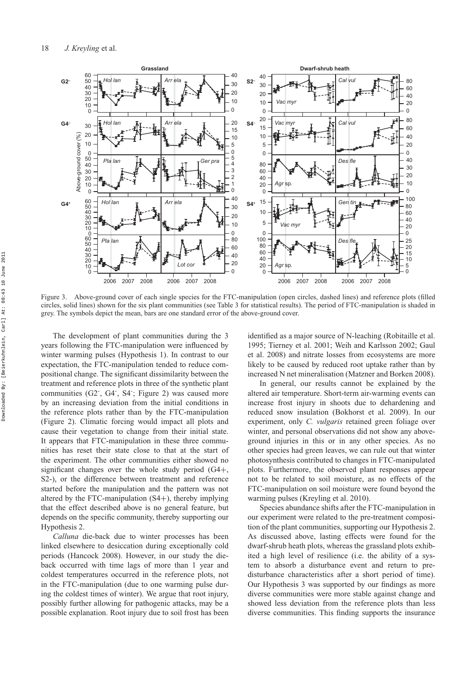

Figure 3. Above-ground cover of each single species for the FTC-manipulation (open circles, dashed lines) and reference plots (filled circles, solid lines) shown for the six plant communities (see Table 3 for statistical results). The period of FTC-manipulation is shaded in grey. The symbols depict the mean, bars are one standard error of the above-ground cover.

The development of plant communities during the 3 years following the FTC-manipulation were influenced by winter warming pulses (Hypothesis 1). In contrast to our expectation, the FTC-manipulation tended to reduce compositional change. The significant dissimilarity between the treatment and reference plots in three of the synthetic plant communities (G2<sup>-</sup>, G4<sup>-</sup>, S4<sup>-</sup>; Figure 2) was caused more by an increasing deviation from the initial conditions in the reference plots rather than by the FTC-manipulation (Figure 2). Climatic forcing would impact all plots and cause their vegetation to change from their initial state. It appears that FTC-manipulation in these three communities has reset their state close to that at the start of the experiment. The other communities either showed no significant changes over the whole study period (G4+, S2-), or the difference between treatment and reference started before the manipulation and the pattern was not altered by the FTC-manipulation (S4+), thereby implying that the effect described above is no general feature, but depends on the specific community, thereby supporting our Hypothesis 2.

*Calluna* die-back due to winter processes has been linked elsewhere to desiccation during exceptionally cold periods (Hancock 2008). However, in our study the dieback occurred with time lags of more than 1 year and coldest temperatures occurred in the reference plots, not in the FTC-manipulation (due to one warming pulse during the coldest times of winter). We argue that root injury, possibly further allowing for pathogenic attacks, may be a possible explanation. Root injury due to soil frost has been identified as a major source of N-leaching (Robitaille et al. 1995; Tierney et al. 2001; Weih and Karlsson 2002; Gaul et al. 2008) and nitrate losses from ecosystems are more likely to be caused by reduced root uptake rather than by increased N net mineralisation (Matzner and Borken 2008).

In general, our results cannot be explained by the altered air temperature. Short-term air-warming events can increase frost injury in shoots due to dehardening and reduced snow insulation (Bokhorst et al. 2009). In our experiment, only *C. vulgaris* retained green foliage over winter, and personal observations did not show any aboveground injuries in this or in any other species. As no other species had green leaves, we can rule out that winter photosynthesis contributed to changes in FTC-manipulated plots. Furthermore, the observed plant responses appear not to be related to soil moisture, as no effects of the FTC-manipulation on soil moisture were found beyond the warming pulses (Kreyling et al. 2010).

Species abundance shifts after the FTC-manipulation in our experiment were related to the pre-treatment composition of the plant communities, supporting our Hypothesis 2. As discussed above, lasting effects were found for the dwarf-shrub heath plots, whereas the grassland plots exhibited a high level of resilience (i.e. the ability of a system to absorb a disturbance event and return to predisturbance characteristics after a short period of time). Our Hypothesis 3 was supported by our findings as more diverse communities were more stable against change and showed less deviation from the reference plots than less diverse communities. This finding supports the insurance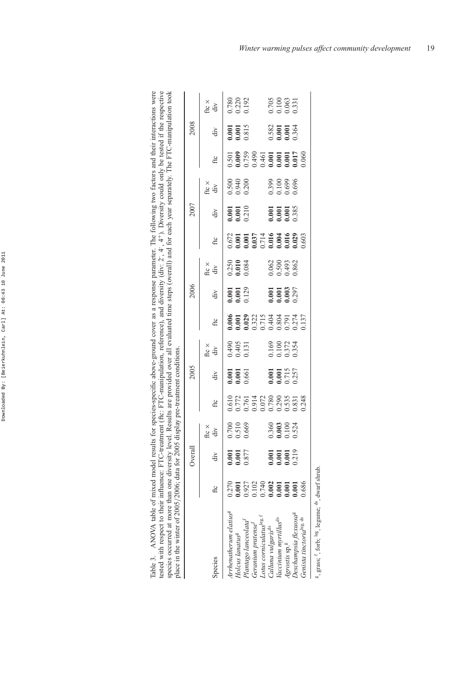| Table 3. ANOVA table of mixed model results for species-specific above-ground cover as a response parameter. The following two factors and their interactions were<br>tested with respect to their influence: FTC-treatment (ftc: FTC-manipulation, reference), and diversity (div: 2-, 4-, 4+). Diversity could only be tested if the respective<br>species occurred at more than one diversity level. Results are provided over all evaluated time steps (overall) and for each year separately. The FTC-manipulation took<br>place in the winter of 2005/2006; data for 2005 display pre-treatment conditions. |       |        |                                                        |              |                                                                  |                |                                                        |                               |                                                        |                                                        |                               |                                                        |                       |                               |                         |
|-------------------------------------------------------------------------------------------------------------------------------------------------------------------------------------------------------------------------------------------------------------------------------------------------------------------------------------------------------------------------------------------------------------------------------------------------------------------------------------------------------------------------------------------------------------------------------------------------------------------|-------|--------|--------------------------------------------------------|--------------|------------------------------------------------------------------|----------------|--------------------------------------------------------|-------------------------------|--------------------------------------------------------|--------------------------------------------------------|-------------------------------|--------------------------------------------------------|-----------------------|-------------------------------|-------------------------|
|                                                                                                                                                                                                                                                                                                                                                                                                                                                                                                                                                                                                                   |       | Overal |                                                        |              | 2005                                                             |                |                                                        | 2006                          |                                                        |                                                        | 2007                          |                                                        |                       | 2008                          |                         |
|                                                                                                                                                                                                                                                                                                                                                                                                                                                                                                                                                                                                                   |       |        | ftc $\times$                                           |              |                                                                  | ftc $\times$   |                                                        |                               | ftc ×                                                  |                                                        |                               | ftc $\times$                                           |                       |                               |                         |
| Species                                                                                                                                                                                                                                                                                                                                                                                                                                                                                                                                                                                                           | fic   | div    | div                                                    | $_{\rm fic}$ | div                                                              | div            | $_{\rm fic}$                                           | div                           | div                                                    | $_{\rm fic}$                                           | div                           | div                                                    | fic                   | div                           | fte $\times$<br>div     |
| Arrhenatherum elatius <sup>g</sup>                                                                                                                                                                                                                                                                                                                                                                                                                                                                                                                                                                                | 0.270 | 0.001  |                                                        | 0.610        |                                                                  |                |                                                        |                               |                                                        |                                                        |                               |                                                        |                       |                               |                         |
| Holcus lanatus <sup>g</sup>                                                                                                                                                                                                                                                                                                                                                                                                                                                                                                                                                                                       | 0.001 | 0.001  | $\begin{array}{c} 0.700 \\ 0.510 \\ 0.669 \end{array}$ | 0.772        | $\begin{bmatrix} 0.001 \\ 0.001 \\ 0.661 \\ 0.601 \end{bmatrix}$ | 0.490<br>0.405 | $\begin{array}{c} 0.006 \\ 0.001 \\ 0.029 \end{array}$ | $0.001$<br>$0.001$<br>$0.129$ | $\begin{array}{c} 0.250 \\ 0.010 \\ 0.084 \end{array}$ | $\begin{array}{c} 0.672 \\ 0.001 \\ 0.001 \end{array}$ | $0.001$<br>$0.001$<br>$0.210$ | $\begin{array}{c} 0.500 \\ 0.940 \\ 0.200 \end{array}$ | $\frac{0.501}{0.009}$ | $0.001$<br>$0.001$<br>$0.815$ | 0.780<br>0.220<br>0.192 |
| Plantago lanceolata <sup>t</sup>                                                                                                                                                                                                                                                                                                                                                                                                                                                                                                                                                                                  | 0.927 | 0.877  |                                                        | 0.761        |                                                                  | 0.131          |                                                        |                               |                                                        |                                                        |                               |                                                        | 0.759                 |                               |                         |

|                                      |                                                                                                                                         | Overall                                                |                                                                 |                                                                       | 2005                             |                                  |                                                                | 2006                          |                                  |                                                                                                                                                                                                                                                                                                     | 2007                             |                         |                                                                  | 2008                                                            |                                  |
|--------------------------------------|-----------------------------------------------------------------------------------------------------------------------------------------|--------------------------------------------------------|-----------------------------------------------------------------|-----------------------------------------------------------------------|----------------------------------|----------------------------------|----------------------------------------------------------------|-------------------------------|----------------------------------|-----------------------------------------------------------------------------------------------------------------------------------------------------------------------------------------------------------------------------------------------------------------------------------------------------|----------------------------------|-------------------------|------------------------------------------------------------------|-----------------------------------------------------------------|----------------------------------|
| species                              |                                                                                                                                         | .≥                                                     | fte $\times$<br>div                                             | $_{\rm fic}$                                                          | div                              | fte $\times$<br>div              | $_{\rm fic}$                                                   | div                           | ん<br>div                         | fic                                                                                                                                                                                                                                                                                                 | div                              | fte $\times$<br>div     | fic                                                              | div                                                             | fte $\times$<br>div              |
| Irrhenatherum elatius <sup>g</sup>   | 0.270                                                                                                                                   |                                                        |                                                                 |                                                                       |                                  |                                  |                                                                |                               |                                  |                                                                                                                                                                                                                                                                                                     |                                  |                         |                                                                  |                                                                 |                                  |
| Holcus lanatus <sup>g</sup>          | 00,001                                                                                                                                  | $\begin{array}{c} 0.001 \\ 0.001 \\ 0.877 \end{array}$ | 0.700<br>0.510<br>0.669                                         |                                                                       | 0.001<br>0.001<br>0.661          | 0.490<br>0.405<br>0.131          |                                                                |                               | $0.250$<br>$0.010$<br>$0.084$    |                                                                                                                                                                                                                                                                                                     |                                  | 0.500<br>0.940<br>0.200 |                                                                  |                                                                 |                                  |
| Plantago lanceolata <sup>1</sup>     | $\begin{array}{c} 0.927 \\ 0.102 \\ 0.740 \\ 0.000 \\ \textbf{0.001} \\ \textbf{0.001} \\ \textbf{0.001} \\ \textbf{0.001} \end{array}$ |                                                        |                                                                 | 0.610<br>0.772<br>0.761 4.72<br>0.914 50.835<br>0.743 50.835<br>0.248 |                                  |                                  | 0.000<br>0.023<br>0.023222<br>0.032224<br>0.03224<br>0.0322425 | 1,001<br>1,001<br>0,129       |                                  | $\begin{array}{r} 0.672 \\ 0.001 \\ 0.001 \\ 0.037 \\ 0.714 \\ 0.010 \\ 0.014 \\ 0.004 \\ 0.003 \\ 0.004 \\ 0.003 \\ 0.003 \\ 0.003 \\ 0.003 \\ 0.003 \\ 0.003 \\ 0.003 \\ 0.003 \\ 0.003 \\ 0.003 \\ 0.003 \\ 0.003 \\ 0.003 \\ 0.003 \\ 0.003 \\ 0.003 \\ 0.003 \\ 0.003 \\ 0.003 \\ 0.003 \\ 0.$ | $0.001$<br>$0.001$<br>$0.210$    |                         | 501<br>0.009<br>0.759<br>0.001 451<br>0.001 0.001<br>0.001 0.001 | 0.001<br>0.001<br>0.815                                         | ).780<br>0.220<br>0.192          |
| Geranium pratense <sup>1</sup>       |                                                                                                                                         |                                                        |                                                                 |                                                                       |                                  |                                  |                                                                |                               |                                  |                                                                                                                                                                                                                                                                                                     |                                  |                         |                                                                  |                                                                 |                                  |
| Lotus corniculatus <sup>leg, t</sup> |                                                                                                                                         |                                                        |                                                                 |                                                                       |                                  |                                  |                                                                |                               |                                  |                                                                                                                                                                                                                                                                                                     |                                  |                         |                                                                  |                                                                 |                                  |
| Calluna vulgaris <sup>as</sup>       |                                                                                                                                         |                                                        | $\begin{array}{c} 0.360 \\ 0.003 \\ 0.100 \\ 0.524 \end{array}$ |                                                                       |                                  |                                  |                                                                | 001<br>001.001<br>003.003.003 | 0.062<br>0.500<br>0.493<br>0.862 |                                                                                                                                                                                                                                                                                                     | 1.001<br>0.001<br>0.001<br>0.385 |                         |                                                                  | $\begin{array}{c} 0.582 \\ 0.001 \\ 0.001 \\ 0.364 \end{array}$ |                                  |
| Vaccinium myrtillus <sup>ds</sup>    |                                                                                                                                         |                                                        |                                                                 |                                                                       |                                  |                                  |                                                                |                               |                                  |                                                                                                                                                                                                                                                                                                     |                                  |                         |                                                                  |                                                                 |                                  |
| Agrostis sp. <sup>g</sup>            |                                                                                                                                         | 0.001<br>0.001<br>0.219                                |                                                                 |                                                                       | 1.001<br>1.001<br>2.715<br>2.257 | 0.169<br>0.100<br>0.374<br>0.334 |                                                                |                               |                                  |                                                                                                                                                                                                                                                                                                     |                                  | 0.399<br>0.600<br>0.699 |                                                                  |                                                                 | 0.705<br>0.100<br>0.063<br>0.331 |
| Deschampsia flexuosa <sup>g</sup>    |                                                                                                                                         |                                                        |                                                                 |                                                                       |                                  |                                  |                                                                |                               |                                  |                                                                                                                                                                                                                                                                                                     |                                  |                         |                                                                  |                                                                 |                                  |
| Genista tinctoria <sup>leg, ds</sup> | 0.686                                                                                                                                   |                                                        |                                                                 |                                                                       |                                  |                                  |                                                                |                               |                                  |                                                                                                                                                                                                                                                                                                     |                                  |                         |                                                                  |                                                                 |                                  |
|                                      |                                                                                                                                         |                                                        |                                                                 |                                                                       |                                  |                                  |                                                                |                               |                                  |                                                                                                                                                                                                                                                                                                     |                                  |                         |                                                                  |                                                                 |                                  |

<sup>g</sup>, grass; f, forb; leg, legume; ds, dwarf shrub. g, grass; f, forb; leg, legume; ds, dwarf shrub.

 $\begin{array}{c} 0.705 \\ 0.100 \\ 0.063 \\ 0.331 \end{array}$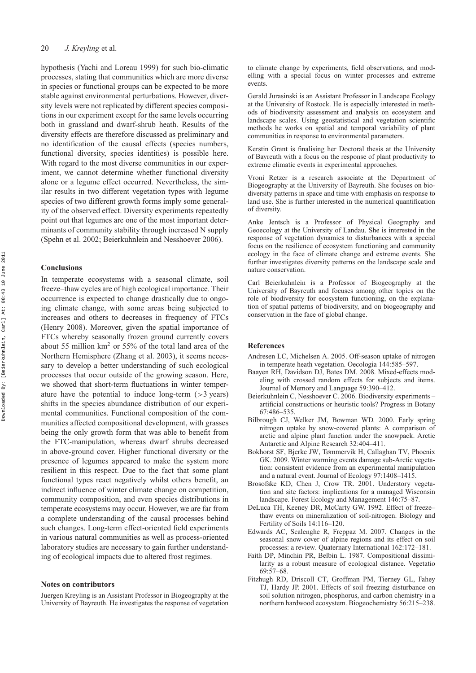#### 20 *J. Kreyling* et al.

hypothesis (Yachi and Loreau 1999) for such bio-climatic processes, stating that communities which are more diverse in species or functional groups can be expected to be more stable against environmental perturbations. However, diversity levels were not replicated by different species compositions in our experiment except for the same levels occurring both in grassland and dwarf-shrub heath. Results of the diversity effects are therefore discussed as preliminary and no identification of the causal effects (species numbers, functional diversity, species identities) is possible here. With regard to the most diverse communities in our experiment, we cannot determine whether functional diversity alone or a legume effect occurred. Nevertheless, the similar results in two different vegetation types with legume species of two different growth forms imply some generality of the observed effect. Diversity experiments repeatedly point out that legumes are one of the most important determinants of community stability through increased N supply (Spehn et al. 2002; Beierkuhnlein and Nesshoever 2006).

# **Conclusions**

In temperate ecosystems with a seasonal climate, soil freeze–thaw cycles are of high ecological importance. Their occurrence is expected to change drastically due to ongoing climate change, with some areas being subjected to increases and others to decreases in frequency of FTCs (Henry 2008). Moreover, given the spatial importance of FTCs whereby seasonally frozen ground currently covers about 55 million  $km^2$  or 55% of the total land area of the Northern Hemisphere (Zhang et al. 2003), it seems necessary to develop a better understanding of such ecological processes that occur outside of the growing season. Here, we showed that short-term fluctuations in winter temperature have the potential to induce long-term (*>*3 years) shifts in the species abundance distribution of our experimental communities. Functional composition of the communities affected compositional development, with grasses being the only growth form that was able to benefit from the FTC-manipulation, whereas dwarf shrubs decreased in above-ground cover. Higher functional diversity or the presence of legumes appeared to make the system more resilient in this respect. Due to the fact that some plant functional types react negatively whilst others benefit, an indirect influence of winter climate change on competition, community composition, and even species distributions in temperate ecosystems may occur. However, we are far from a complete understanding of the causal processes behind such changes. Long-term effect-oriented field experiments in various natural communities as well as process-oriented laboratory studies are necessary to gain further understanding of ecological impacts due to altered frost regimes.

#### **Notes on contributors**

Juergen Kreyling is an Assistant Professor in Biogeography at the University of Bayreuth. He investigates the response of vegetation to climate change by experiments, field observations, and modelling with a special focus on winter processes and extreme events.

Gerald Jurasinski is an Assistant Professor in Landscape Ecology at the University of Rostock. He is especially interested in methods of biodiversity assessment and analysis on ecosystem and landscape scales. Using geostatistical and vegetation scientific methods he works on spatial and temporal variability of plant communities in response to environmental parameters.

Kerstin Grant is finalising her Doctoral thesis at the University of Bayreuth with a focus on the response of plant productivity to extreme climatic events in experimental approaches.

Vroni Retzer is a research associate at the Department of Biogeography at the University of Bayreuth. She focuses on biodiversity patterns in space and time with emphasis on response to land use. She is further interested in the numerical quantification of diversity.

Anke Jentsch is a Professor of Physical Geography and Geoecology at the University of Landau. She is interested in the response of vegetation dynamics to disturbances with a special focus on the resilience of ecosystem functioning and community ecology in the face of climate change and extreme events. She further investigates diversity patterns on the landscape scale and nature conservation.

Carl Beierkuhnlein is a Professor of Biogeography at the University of Bayreuth and focuses among other topics on the role of biodiversity for ecosystem functioning, on the explanation of spatial patterns of biodiversity, and on biogeography and conservation in the face of global change.

#### **References**

- Andresen LC, Michelsen A. 2005. Off-season uptake of nitrogen in temperate heath vegetation. Oecologia 144:585–597.
- Baayen RH, Davidson DJ, Bates DM. 2008. Mixed-effects modeling with crossed random effects for subjects and items. Journal of Memory and Language 59:390–412.
- Beierkuhnlein C, Nesshoever C. 2006. Biodiversity experiments artificial constructions or heuristic tools? Progress in Botany 67:486–535.
- Bilbrough CJ, Welker JM, Bowman WD. 2000. Early spring nitrogen uptake by snow-covered plants: A comparison of arctic and alpine plant function under the snowpack. Arctic Antarctic and Alpine Research 32:404–411.
- Bokhorst SF, Bjerke JW, Tømmervik H, Callaghan TV, Phoenix GK. 2009. Winter warming events damage sub-Arctic vegetation: consistent evidence from an experimental manipulation and a natural event. Journal of Ecology 97:1408–1415.
- Brosofske KD, Chen J, Crow TR. 2001. Understory vegetation and site factors: implications for a managed Wisconsin landscape. Forest Ecology and Management 146:75–87.
- DeLuca TH, Keeney DR, McCarty GW. 1992. Effect of freeze– thaw events on mineralization of soil-nitrogen. Biology and Fertility of Soils 14:116–120.
- Edwards AC, Scalenghe R, Freppaz M. 2007. Changes in the seasonal snow cover of alpine regions and its effect on soil processes: a review. Quaternary International 162:172–181.
- Faith DP, Minchin PR, Belbin L. 1987. Compositional dissimilarity as a robust measure of ecological distance. Vegetatio 69:57–68.
- Fitzhugh RD, Driscoll CT, Groffman PM, Tierney GL, Fahey TJ, Hardy JP. 2001. Effects of soil freezing disturbance on soil solution nitrogen, phosphorus, and carbon chemistry in a northern hardwood ecosystem. Biogeochemistry 56:215–238.